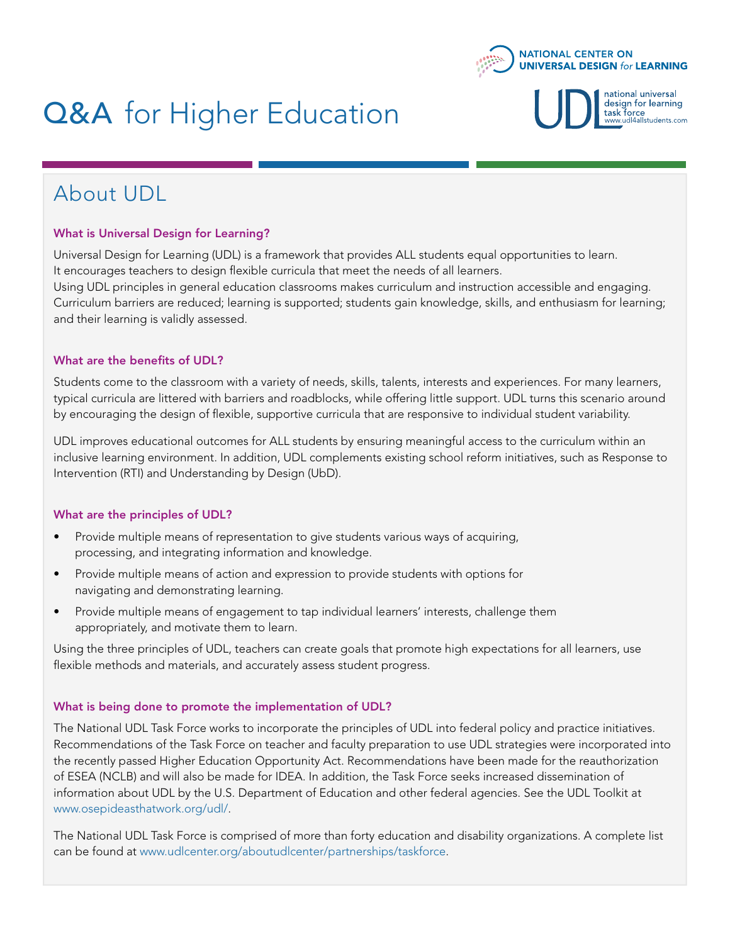

# **Q&A** for Higher Education

national universal design for learning :**ask force**<br>www.udl4allstudents.com task

### About UDL

#### What is Universal Design for Learning?

Universal Design for Learning (UDL) is a framework that provides ALL students equal opportunities to learn. It encourages teachers to design flexible curricula that meet the needs of all learners. Using UDL principles in general education classrooms makes curriculum and instruction accessible and engaging. Curriculum barriers are reduced; learning is supported; students gain knowledge, skills, and enthusiasm for learning; and their learning is validly assessed.

#### What are the benefits of UDL?

Students come to the classroom with a variety of needs, skills, talents, interests and experiences. For many learners, typical curricula are littered with barriers and roadblocks, while offering little support. UDL turns this scenario around by encouraging the design of flexible, supportive curricula that are responsive to individual student variability.

UDL improves educational outcomes for ALL students by ensuring meaningful access to the curriculum within an inclusive learning environment. In addition, UDL complements existing school reform initiatives, such as Response to Intervention (RTI) and Understanding by Design (UbD).

#### What are the principles of UDL?

- Provide multiple means of representation to give students various ways of acquiring, processing, and integrating information and knowledge.
- Provide multiple means of action and expression to provide students with options for navigating and demonstrating learning.
- Provide multiple means of engagement to tap individual learners' interests, challenge them appropriately, and motivate them to learn.

Using the three principles of UDL, teachers can create goals that promote high expectations for all learners, use flexible methods and materials, and accurately assess student progress.

#### What is being done to promote the implementation of UDL?

The National UDL Task Force works to incorporate the principles of UDL into federal policy and practice initiatives. Recommendations of the Task Force on teacher and faculty preparation to use UDL strategies were incorporated into the recently passed Higher Education Opportunity Act. Recommendations have been made for the reauthorization of ESEA (NCLB) and will also be made for IDEA. In addition, the Task Force seeks increased dissemination of information about UDL by the U.S. Department of Education and other federal agencies. See the UDL Toolkit at www.osepideasthatwork.org/udl/.

The National UDL Task Force is comprised of more than forty education and disability organizations. A complete list can be found at www.udlcenter.org/aboutudlcenter/partnerships/taskforce.